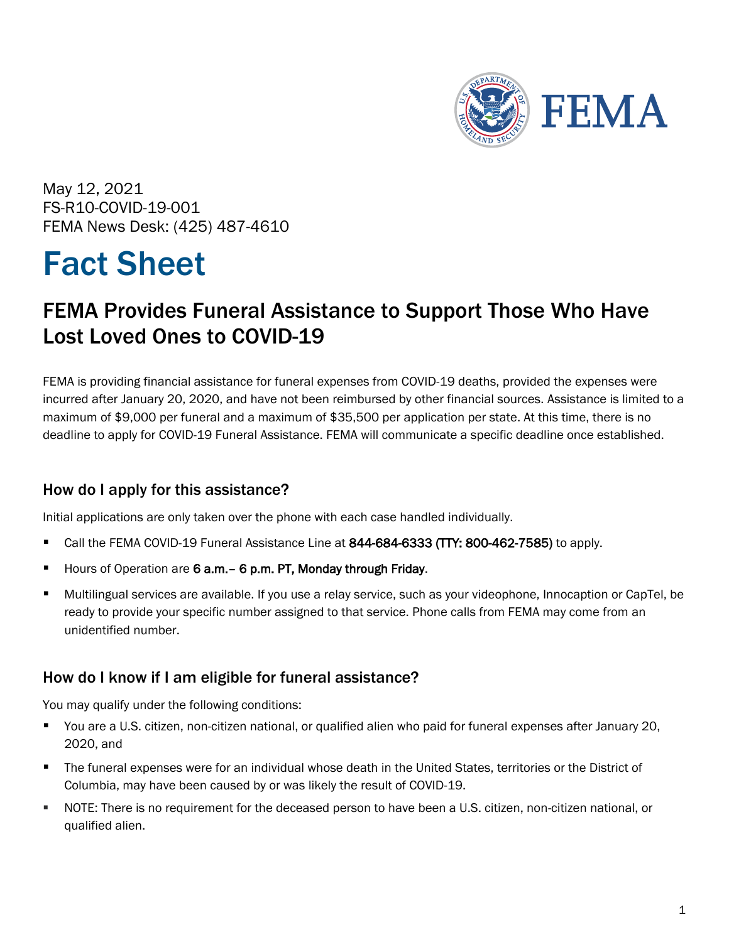

May 12, 2021 FS-R10-COVID-19-001 FEMA News Desk: (425) 487-4610

# Fact Sheet

# FEMA Provides Funeral Assistance to Support Those Who Have Lost Loved Ones to COVID-19

FEMA is providing financial assistance for funeral expenses from COVID-19 deaths, provided the expenses were incurred after January 20, 2020, and have not been reimbursed by other financial sources. Assistance is limited to a maximum of \$9,000 per funeral and a maximum of \$35,500 per application per state. At this time, there is no deadline to apply for COVID-19 Funeral Assistance. FEMA will communicate a specific deadline once established.

## How do I apply for this assistance?

Initial applications are only taken over the phone with each case handled individually.

- Call the FEMA COVID-19 Funeral Assistance Line at 844-684-6333 (TTY: 800-462-7585) to apply.
- Hours of Operation are 6 a.m. 6 p.m. PT, Monday through Friday.
- Multilingual services are available. If you use a relay service, such as your videophone, Innocaption or CapTel, be ready to provide your specific number assigned to that service. Phone calls from FEMA may come from an unidentified number.

## How do I know if I am eligible for funeral assistance?

You may qualify under the following conditions:

- You are a U.S. citizen, non-citizen national, or qualified alien who paid for funeral expenses after January 20, 2020, and
- The funeral expenses were for an individual whose death in the United States, territories or the District of Columbia, may have been caused by or was likely the result of COVID-19.
- NOTE: There is no requirement for the deceased person to have been a U.S. citizen, non-citizen national, or qualified alien.